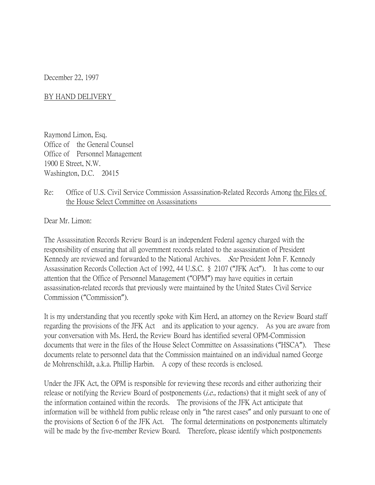December 22, 1997

BY HAND DELIVERY

Raymond Limon, Esq. Office of the General Counsel Office of Personnel Management 1900 E Street, N.W. Washington, D.C. 20415

## Re: Office of U.S. Civil Service Commission Assassination-Related Records Among the Files of the House Select Committee on Assassinations

Dear Mr. Limon:

The Assassination Records Review Board is an independent Federal agency charged with the responsibility of ensuring that all government records related to the assassination of President Kennedy are reviewed and forwarded to the National Archives. See President John F. Kennedy Assassination Records Collection Act of 1992, 44 U.S.C. § 2107 ("JFK Act"). It has come to our attention that the Office of Personnel Management ("OPM") may have equities in certain assassination-related records that previously were maintained by the United States Civil Service Commission ("Commission").

It is my understanding that you recently spoke with Kim Herd, an attorney on the Review Board staff regarding the provisions of the JFK Act and its application to your agency. As you are aware from your conversation with Ms. Herd, the Review Board has identified several OPM-Commission documents that were in the files of the House Select Committee on Assassinations ("HSCA"). These documents relate to personnel data that the Commission maintained on an individual named George de Mohrenschildt, a.k.a. Phillip Harbin. A copy of these records is enclosed.

Under the JFK Act, the OPM is responsible for reviewing these records and either authorizing their release or notifying the Review Board of postponements *(i.e.*, redactions) that it might seek of any of the information contained within the records. The provisions of the JFK Act anticipate that information will be withheld from public release only in "the rarest cases" and only pursuant to one of the provisions of Section 6 of the JFK Act. The formal determinations on postponements ultimately will be made by the five-member Review Board. Therefore, please identify which postponements